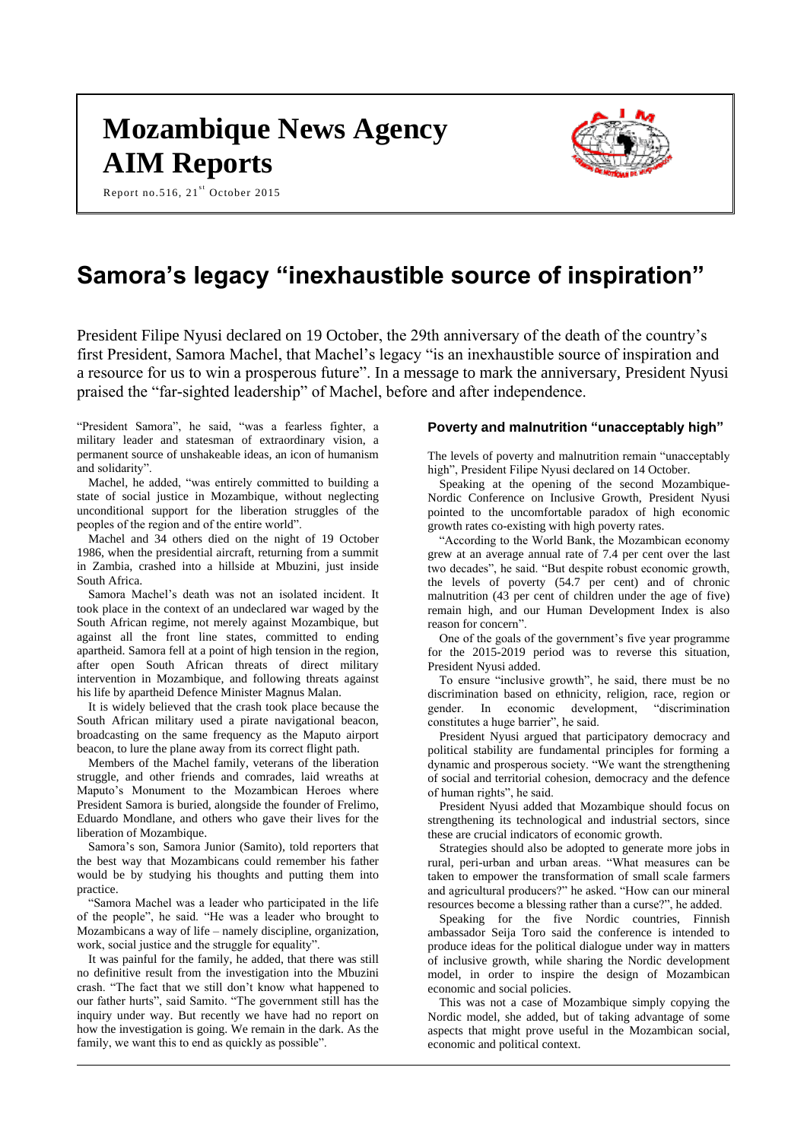# **Mozambique News Agency AIM Reports**

Report no.516,  $21<sup>st</sup>$  October 2015



# **Samora's legacy "inexhaustible source of inspiration"**

President Filipe Nyusi declared on 19 October, the 29th anniversary of the death of the country's first President, Samora Machel, that Machel's legacy "is an inexhaustible source of inspiration and a resource for us to win a prosperous future". In a message to mark the anniversary, President Nyusi praised the "far-sighted leadership" of Machel, before and after independence.

"President Samora", he said, "was a fearless fighter, a military leader and statesman of extraordinary vision, a permanent source of unshakeable ideas, an icon of humanism and solidarity".

Machel, he added, "was entirely committed to building a state of social justice in Mozambique, without neglecting unconditional support for the liberation struggles of the peoples of the region and of the entire world".

Machel and 34 others died on the night of 19 October 1986, when the presidential aircraft, returning from a summit in Zambia, crashed into a hillside at Mbuzini, just inside South Africa.

Samora Machel's death was not an isolated incident. It took place in the context of an undeclared war waged by the South African regime, not merely against Mozambique, but against all the front line states, committed to ending apartheid. Samora fell at a point of high tension in the region, after open South African threats of direct military intervention in Mozambique, and following threats against his life by apartheid Defence Minister Magnus Malan.

It is widely believed that the crash took place because the South African military used a pirate navigational beacon, broadcasting on the same frequency as the Maputo airport beacon, to lure the plane away from its correct flight path.

Members of the Machel family, veterans of the liberation struggle, and other friends and comrades, laid wreaths at Maputo's Monument to the Mozambican Heroes where President Samora is buried, alongside the founder of Frelimo, Eduardo Mondlane, and others who gave their lives for the liberation of Mozambique.

Samora's son, Samora Junior (Samito), told reporters that the best way that Mozambicans could remember his father would be by studying his thoughts and putting them into practice.

"Samora Machel was a leader who participated in the life of the people", he said. "He was a leader who brought to Mozambicans a way of life – namely discipline, organization, work, social justice and the struggle for equality".

It was painful for the family, he added, that there was still no definitive result from the investigation into the Mbuzini crash. "The fact that we still don't know what happened to our father hurts", said Samito. "The government still has the inquiry under way. But recently we have had no report on how the investigation is going. We remain in the dark. As the family, we want this to end as quickly as possible".

#### **Poverty and malnutrition "unacceptably high"**

The levels of poverty and malnutrition remain "unacceptably high", President Filipe Nyusi declared on 14 October.

Speaking at the opening of the second Mozambique-Nordic Conference on Inclusive Growth, President Nyusi pointed to the uncomfortable paradox of high economic growth rates co-existing with high poverty rates.

"According to the World Bank, the Mozambican economy grew at an average annual rate of 7.4 per cent over the last two decades", he said. "But despite robust economic growth, the levels of poverty (54.7 per cent) and of chronic malnutrition (43 per cent of children under the age of five) remain high, and our Human Development Index is also reason for concern".

One of the goals of the government's five year programme for the 2015-2019 period was to reverse this situation, President Nyusi added.

To ensure "inclusive growth", he said, there must be no discrimination based on ethnicity, religion, race, region or gender. In economic development, "discrimination constitutes a huge barrier", he said.

President Nyusi argued that participatory democracy and political stability are fundamental principles for forming a dynamic and prosperous society. "We want the strengthening of social and territorial cohesion, democracy and the defence of human rights", he said.

President Nyusi added that Mozambique should focus on strengthening its technological and industrial sectors, since these are crucial indicators of economic growth.

Strategies should also be adopted to generate more jobs in rural, peri-urban and urban areas. "What measures can be taken to empower the transformation of small scale farmers and agricultural producers?" he asked. "How can our mineral resources become a blessing rather than a curse?", he added.

Speaking for the five Nordic countries, Finnish ambassador Seija Toro said the conference is intended to produce ideas for the political dialogue under way in matters of inclusive growth, while sharing the Nordic development model, in order to inspire the design of Mozambican economic and social policies.

This was not a case of Mozambique simply copying the Nordic model, she added, but of taking advantage of some aspects that might prove useful in the Mozambican social, economic and political context.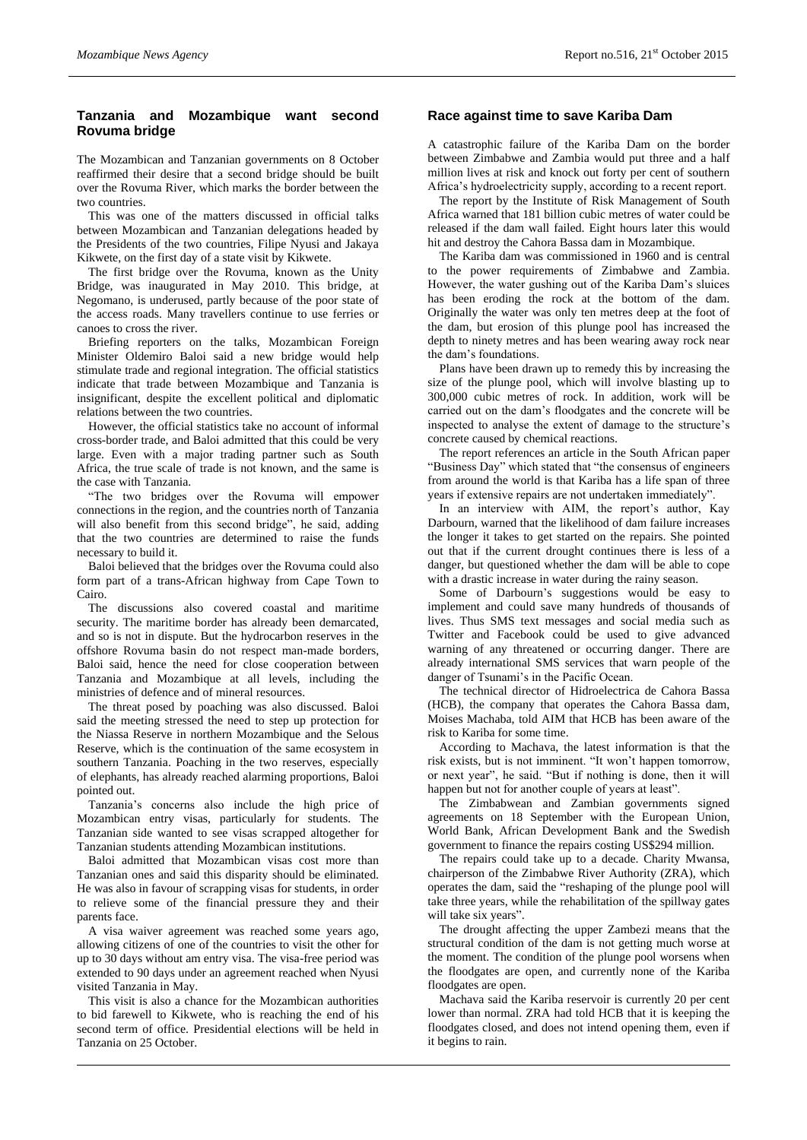# **Tanzania and Mozambique want second Rovuma bridge**

The Mozambican and Tanzanian governments on 8 October reaffirmed their desire that a second bridge should be built over the Rovuma River, which marks the border between the two countries.

This was one of the matters discussed in official talks between Mozambican and Tanzanian delegations headed by the Presidents of the two countries, Filipe Nyusi and Jakaya Kikwete, on the first day of a state visit by Kikwete.

The first bridge over the Rovuma, known as the Unity Bridge, was inaugurated in May 2010. This bridge, at Negomano, is underused, partly because of the poor state of the access roads. Many travellers continue to use ferries or canoes to cross the river.

Briefing reporters on the talks, Mozambican Foreign Minister Oldemiro Baloi said a new bridge would help stimulate trade and regional integration. The official statistics indicate that trade between Mozambique and Tanzania is insignificant, despite the excellent political and diplomatic relations between the two countries.

However, the official statistics take no account of informal cross-border trade, and Baloi admitted that this could be very large. Even with a major trading partner such as South Africa, the true scale of trade is not known, and the same is the case with Tanzania.

"The two bridges over the Rovuma will empower connections in the region, and the countries north of Tanzania will also benefit from this second bridge", he said, adding that the two countries are determined to raise the funds necessary to build it.

Baloi believed that the bridges over the Rovuma could also form part of a trans-African highway from Cape Town to Cairo.

The discussions also covered coastal and maritime security. The maritime border has already been demarcated, and so is not in dispute. But the hydrocarbon reserves in the offshore Rovuma basin do not respect man-made borders, Baloi said, hence the need for close cooperation between Tanzania and Mozambique at all levels, including the ministries of defence and of mineral resources.

The threat posed by poaching was also discussed. Baloi said the meeting stressed the need to step up protection for the Niassa Reserve in northern Mozambique and the Selous Reserve, which is the continuation of the same ecosystem in southern Tanzania. Poaching in the two reserves, especially of elephants, has already reached alarming proportions, Baloi pointed out.

Tanzania's concerns also include the high price of Mozambican entry visas, particularly for students. The Tanzanian side wanted to see visas scrapped altogether for Tanzanian students attending Mozambican institutions.

Baloi admitted that Mozambican visas cost more than Tanzanian ones and said this disparity should be eliminated. He was also in favour of scrapping visas for students, in order to relieve some of the financial pressure they and their parents face.

A visa waiver agreement was reached some years ago, allowing citizens of one of the countries to visit the other for up to 30 days without am entry visa. The visa-free period was extended to 90 days under an agreement reached when Nyusi visited Tanzania in May.

This visit is also a chance for the Mozambican authorities to bid farewell to Kikwete, who is reaching the end of his second term of office. Presidential elections will be held in Tanzania on 25 October.

## **Race against time to save Kariba Dam**

A catastrophic failure of the Kariba Dam on the border between Zimbabwe and Zambia would put three and a half million lives at risk and knock out forty per cent of southern Africa's hydroelectricity supply, according to a recent report.

The report by the Institute of Risk Management of South Africa warned that 181 billion cubic metres of water could be released if the dam wall failed. Eight hours later this would hit and destroy the Cahora Bassa dam in Mozambique.

The Kariba dam was commissioned in 1960 and is central to the power requirements of Zimbabwe and Zambia. However, the water gushing out of the Kariba Dam's sluices has been eroding the rock at the bottom of the dam. Originally the water was only ten metres deep at the foot of the dam, but erosion of this plunge pool has increased the depth to ninety metres and has been wearing away rock near the dam's foundations.

Plans have been drawn up to remedy this by increasing the size of the plunge pool, which will involve blasting up to 300,000 cubic metres of rock. In addition, work will be carried out on the dam's floodgates and the concrete will be inspected to analyse the extent of damage to the structure's concrete caused by chemical reactions.

The report references an article in the South African paper "Business Day" which stated that "the consensus of engineers from around the world is that Kariba has a life span of three years if extensive repairs are not undertaken immediately".

In an interview with AIM, the report's author, Kay Darbourn, warned that the likelihood of dam failure increases the longer it takes to get started on the repairs. She pointed out that if the current drought continues there is less of a danger, but questioned whether the dam will be able to cope with a drastic increase in water during the rainy season.

Some of Darbourn's suggestions would be easy to implement and could save many hundreds of thousands of lives. Thus SMS text messages and social media such as Twitter and Facebook could be used to give advanced warning of any threatened or occurring danger. There are already international SMS services that warn people of the danger of Tsunami's in the Pacific Ocean.

The technical director of Hidroelectrica de Cahora Bassa (HCB), the company that operates the Cahora Bassa dam, Moises Machaba, told AIM that HCB has been aware of the risk to Kariba for some time.

According to Machava, the latest information is that the risk exists, but is not imminent. "It won't happen tomorrow, or next year", he said. "But if nothing is done, then it will happen but not for another couple of years at least".

The Zimbabwean and Zambian governments signed agreements on 18 September with the European Union, World Bank, African Development Bank and the Swedish government to finance the repairs costing US\$294 million.

The repairs could take up to a decade. Charity Mwansa, chairperson of the Zimbabwe River Authority (ZRA), which operates the dam, said the "reshaping of the plunge pool will take three years, while the rehabilitation of the spillway gates will take six years".

The drought affecting the upper Zambezi means that the structural condition of the dam is not getting much worse at the moment. The condition of the plunge pool worsens when the floodgates are open, and currently none of the Kariba floodgates are open.

Machava said the Kariba reservoir is currently 20 per cent lower than normal. ZRA had told HCB that it is keeping the floodgates closed, and does not intend opening them, even if it begins to rain.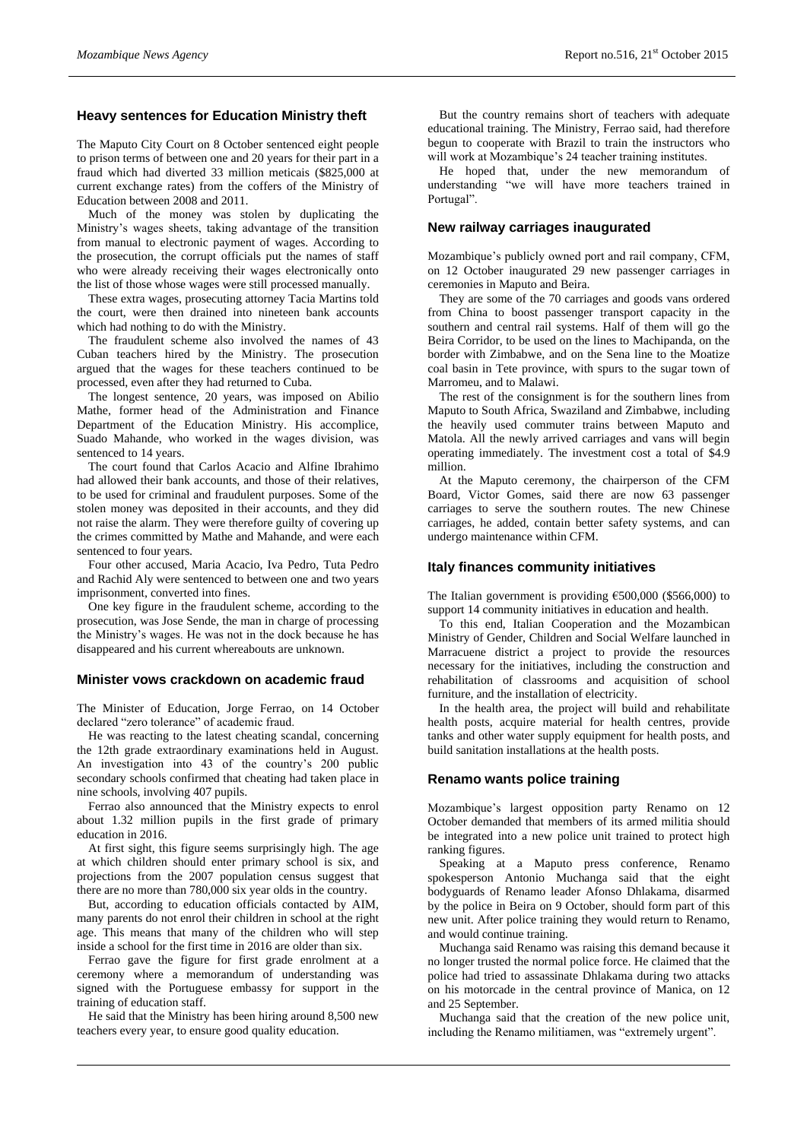## **Heavy sentences for Education Ministry theft**

The Maputo City Court on 8 October sentenced eight people to prison terms of between one and 20 years for their part in a fraud which had diverted 33 million meticais (\$825,000 at current exchange rates) from the coffers of the Ministry of Education between 2008 and 2011.

Much of the money was stolen by duplicating the Ministry's wages sheets, taking advantage of the transition from manual to electronic payment of wages. According to the prosecution, the corrupt officials put the names of staff who were already receiving their wages electronically onto the list of those whose wages were still processed manually.

These extra wages, prosecuting attorney Tacia Martins told the court, were then drained into nineteen bank accounts which had nothing to do with the Ministry.

The fraudulent scheme also involved the names of 43 Cuban teachers hired by the Ministry. The prosecution argued that the wages for these teachers continued to be processed, even after they had returned to Cuba.

The longest sentence, 20 years, was imposed on Abilio Mathe, former head of the Administration and Finance Department of the Education Ministry. His accomplice, Suado Mahande, who worked in the wages division, was sentenced to 14 years.

The court found that Carlos Acacio and Alfine Ibrahimo had allowed their bank accounts, and those of their relatives, to be used for criminal and fraudulent purposes. Some of the stolen money was deposited in their accounts, and they did not raise the alarm. They were therefore guilty of covering up the crimes committed by Mathe and Mahande, and were each sentenced to four years.

Four other accused, Maria Acacio, Iva Pedro, Tuta Pedro and Rachid Aly were sentenced to between one and two years imprisonment, converted into fines.

One key figure in the fraudulent scheme, according to the prosecution, was Jose Sende, the man in charge of processing the Ministry's wages. He was not in the dock because he has disappeared and his current whereabouts are unknown.

#### **Minister vows crackdown on academic fraud**

The Minister of Education, Jorge Ferrao, on 14 October declared "zero tolerance" of academic fraud.

He was reacting to the latest cheating scandal, concerning the 12th grade extraordinary examinations held in August. An investigation into 43 of the country's 200 public secondary schools confirmed that cheating had taken place in nine schools, involving 407 pupils.

Ferrao also announced that the Ministry expects to enrol about 1.32 million pupils in the first grade of primary education in 2016.

At first sight, this figure seems surprisingly high. The age at which children should enter primary school is six, and projections from the 2007 population census suggest that there are no more than 780,000 six year olds in the country.

But, according to education officials contacted by AIM, many parents do not enrol their children in school at the right age. This means that many of the children who will step inside a school for the first time in 2016 are older than six.

Ferrao gave the figure for first grade enrolment at a ceremony where a memorandum of understanding was signed with the Portuguese embassy for support in the training of education staff.

He said that the Ministry has been hiring around 8,500 new teachers every year, to ensure good quality education.

But the country remains short of teachers with adequate educational training. The Ministry, Ferrao said, had therefore begun to cooperate with Brazil to train the instructors who will work at Mozambique's 24 teacher training institutes.

He hoped that, under the new memorandum of understanding "we will have more teachers trained in Portugal".

#### **New railway carriages inaugurated**

Mozambique's publicly owned port and rail company, CFM, on 12 October inaugurated 29 new passenger carriages in ceremonies in Maputo and Beira.

They are some of the 70 carriages and goods vans ordered from China to boost passenger transport capacity in the southern and central rail systems. Half of them will go the Beira Corridor, to be used on the lines to Machipanda, on the border with Zimbabwe, and on the Sena line to the Moatize coal basin in Tete province, with spurs to the sugar town of Marromeu, and to Malawi.

The rest of the consignment is for the southern lines from Maputo to South Africa, Swaziland and Zimbabwe, including the heavily used commuter trains between Maputo and Matola. All the newly arrived carriages and vans will begin operating immediately. The investment cost a total of \$4.9 million.

At the Maputo ceremony, the chairperson of the CFM Board, Victor Gomes, said there are now 63 passenger carriages to serve the southern routes. The new Chinese carriages, he added, contain better safety systems, and can undergo maintenance within CFM.

#### **Italy finances community initiatives**

The Italian government is providing €500,000 (\$566,000) to support 14 community initiatives in education and health.

To this end, Italian Cooperation and the Mozambican Ministry of Gender, Children and Social Welfare launched in Marracuene district a project to provide the resources necessary for the initiatives, including the construction and rehabilitation of classrooms and acquisition of school furniture, and the installation of electricity.

In the health area, the project will build and rehabilitate health posts, acquire material for health centres, provide tanks and other water supply equipment for health posts, and build sanitation installations at the health posts.

#### **Renamo wants police training**

Mozambique's largest opposition party Renamo on 12 October demanded that members of its armed militia should be integrated into a new police unit trained to protect high ranking figures.

Speaking at a Maputo press conference, Renamo spokesperson Antonio Muchanga said that the eight bodyguards of Renamo leader Afonso Dhlakama, disarmed by the police in Beira on 9 October, should form part of this new unit. After police training they would return to Renamo, and would continue training.

Muchanga said Renamo was raising this demand because it no longer trusted the normal police force. He claimed that the police had tried to assassinate Dhlakama during two attacks on his motorcade in the central province of Manica, on 12 and 25 September.

Muchanga said that the creation of the new police unit, including the Renamo militiamen, was "extremely urgent".